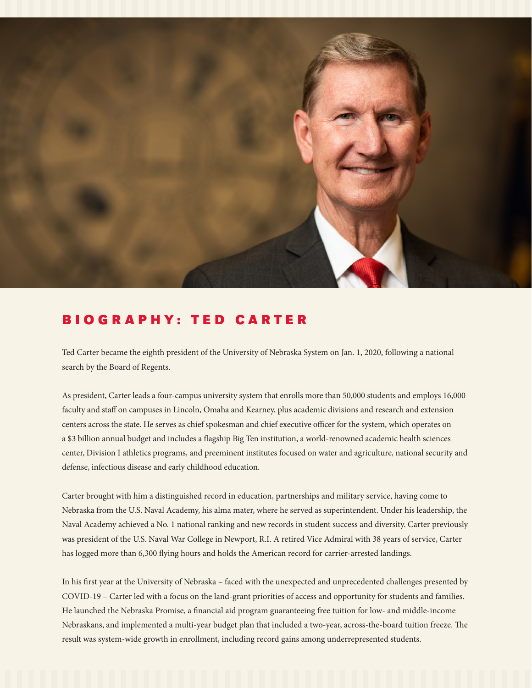

## BIOGRAPHY: TED CARTER

Ted Carter became the eighth president of the University of Nebraska System on Jan. 1, 2020, following a national search by the Board of Regents.

As president, Carter leads a four-campus university system that enrolls more than 50,000 students and employs 16,000 faculty and staff on campuses in Lincoln, Omaha and Kearney, plus academic divisions and research and extension centers across the state. He serves as chief spokesman and chief executive officer for the system, which operates on a \$3 billion annual budget and includes a flagship Big Ten institution, a world-renowned academic health sciences center, Division I athletics programs, and preeminent institutes focused on water and agriculture, national security and defense, infectious disease and early childhood education.

Carter brought with him a distinguished record in education, partnerships and military service, having come to Nebraska from the U.S. Naval Academy, his alma mater, where he served as superintendent. Under his leadership, the Naval Academy achieved a No. 1 national ranking and new records in student success and diversity. Carter previously was president of the U.S. Naval War College in Newport, R.I. A retired Vice Admiral with 38 years of service, Carter has logged more than 6,300 flying hours and holds the American record for carrier-arrested landings.

In his first year at the University of Nebraska – faced with the unexpected and unprecedented challenges presented by COVID-19 – Carter led with a focus on the land-grant priorities of access and opportunity for students and families. He launched the Nebraska Promise, a financial aid program guaranteeing free tuition for low- and middle-income Nebraskans, and implemented a multi-year budget plan that included a two-year, across-the-board tuition freeze. The result was system-wide growth in enrollment, including record gains among underrepresented students.